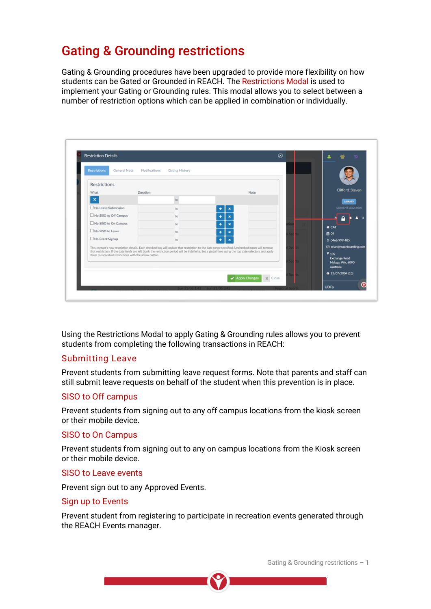# Gating & Grounding restrictions

Gating & Grounding procedures have been upgraded to provide more flexibility on how students can be Gated or Grounded in REACH. The Restrictions Modal is used to implement your Gating or Grounding rules. This modal allows you to select between a number of restriction options which can be applied in combination or individually.

| <b>Restrictions</b><br>General Note                                                                                                                                                                                                                                                                       | Notifications<br>Gating History |      |                                                                       |
|-----------------------------------------------------------------------------------------------------------------------------------------------------------------------------------------------------------------------------------------------------------------------------------------------------------|---------------------------------|------|-----------------------------------------------------------------------|
| <b>Restrictions</b>                                                                                                                                                                                                                                                                                       |                                 |      |                                                                       |
| Duration<br>What                                                                                                                                                                                                                                                                                          |                                 | Note | Clifford, Steven                                                      |
| $\pmb{\times}$                                                                                                                                                                                                                                                                                            | to                              |      | LIBRARY                                                               |
| No Leave Submission                                                                                                                                                                                                                                                                                       | to                              |      | <b>CURRENT LOCATION</b>                                               |
| No SISO to Off Campus                                                                                                                                                                                                                                                                                     | to                              |      |                                                                       |
| No SISO to On Campus                                                                                                                                                                                                                                                                                      | to                              |      | <b># CAT</b>                                                          |
| No SISO to Leave                                                                                                                                                                                                                                                                                          | to                              |      | m 09                                                                  |
| No Event Signup                                                                                                                                                                                                                                                                                           | to                              | ٠    | 0 0466 999 405                                                        |
| This contact's new restriction details. Each checked box will update that restriction to the date range specified. Unchecked boxes will remove<br>that restriction. If the date fields are left blank the restriction period will be indefinite. Set a global time using the top date selectors and apply |                                 |      | S brian@reachboarding.com                                             |
| them to individual restrictions with the arrow button.                                                                                                                                                                                                                                                    |                                 |      | 9 109<br><b>Exchange Road</b><br>Malaga, WA, 6090<br><b>Australia</b> |
|                                                                                                                                                                                                                                                                                                           |                                 |      | 15) 23/07/2004 (15)                                                   |

Using the Restrictions Modal to apply Gating & Grounding rules allows you to prevent students from completing the following transactions in REACH:

### Submitting Leave

Prevent students from submitting leave request forms. Note that parents and staff can still submit leave requests on behalf of the student when this prevention is in place.

### SISO to Off campus

Prevent students from signing out to any off campus locations from the kiosk screen or their mobile device.

### SISO to On Campus

Prevent students from signing out to any on campus locations from the Kiosk screen or their mobile device.

#### SISO to Leave events

Prevent sign out to any Approved Events.

#### Sign up to Events

Prevent student from registering to participate in recreation events generated through the REACH Events manager.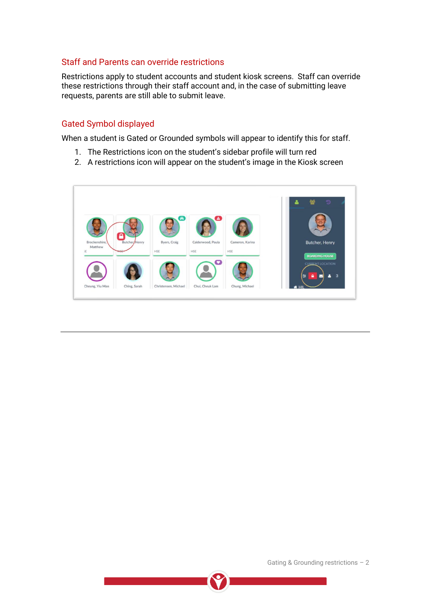### Staff and Parents can override restrictions

Restrictions apply to student accounts and student kiosk screens. Staff can override these restrictions through their staff account and, in the case of submitting leave requests, parents are still able to submit leave.

### Gated Symbol displayed

When a student is Gated or Grounded symbols will appear to identify this for staff.

- 1. The Restrictions icon on the student's sidebar profile will turn red
- 2. A restrictions icon will appear on the student's image in the Kiosk screen





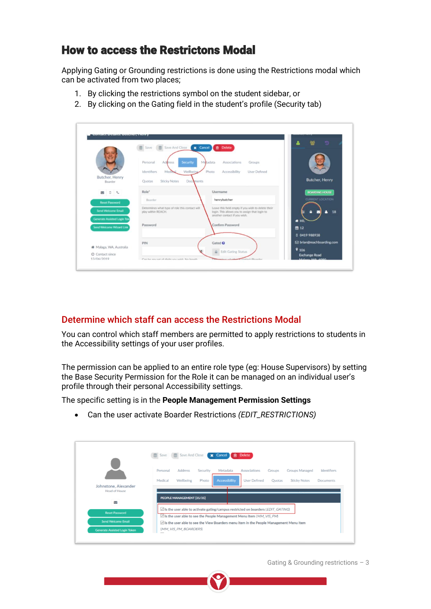# How to access the Restrictons Modal

Applying Gating or Grounding restrictions is done using the Restrictions modal which can be activated from two places;

- 1. By clicking the restrictions symbol on the student sidebar, or
- 2. By clicking on the Gating field in the student's profile (Security tab)

|                                                                | Save <b>E</b> Save And Close                                                      | <b>自</b> Delete<br>x Cancel                                                                                                          | Ð                                                 |
|----------------------------------------------------------------|-----------------------------------------------------------------------------------|--------------------------------------------------------------------------------------------------------------------------------------|---------------------------------------------------|
|                                                                | <b>Security</b><br>Personal<br><b>Address</b><br>Wellbeing<br>Identifiers<br>Medi | Metadata<br>Associations<br>Groups<br>Photo<br>Accessibility<br>User Defined                                                         |                                                   |
| Butcher, Henry<br>Boarder                                      | <b>Sticky Notes</b><br>Documents<br>Quotas                                        |                                                                                                                                      | <b>Butcher, Henry</b>                             |
| 200                                                            | Role*                                                                             | Username                                                                                                                             | <b>BOARDING HOUSE</b>                             |
| <b>Reset Password</b>                                          | Boarder                                                                           | henrybutcher                                                                                                                         | <b>CURRENT LOCATION</b>                           |
| <b>Send Welcome Email</b>                                      | Determines what type of role this contact will<br>play within REACH.              | Leave this field empty if you wish to delete their<br>login. This allows you to assign that login to<br>another contact if you wish. | 18                                                |
| <b>Generate Assisted Login Tok</b><br>Send Welcome Wizard Link | Password                                                                          | Confirm Password                                                                                                                     | # HIL<br>曲 12                                     |
|                                                                | PIN                                                                               | Gated <sup>O</sup>                                                                                                                   | 0 0419 988938<br><b>⊠</b> brian@reachboarding.com |
| W Malaga, WA, Australia                                        |                                                                                   | <b>A</b> Edit Gating Status                                                                                                          | 9106                                              |

### Determine which staff can access the Restrictions Modal

You can control which staff members are permitted to apply restrictions to students in the Accessibility settings of your user profiles.

The permission can be applied to an entire role type (eg: House Supervisors) by setting the Base Security Permission for the Role it can be managed on an individual user's profile through their personal Accessibility settings.

The specific setting is in the **People Management Permission Settings**

|                                      | Save Save And Close<br><b>x</b> Cancel<br><b>會</b> Delete                                                                                                                                                                                                 |
|--------------------------------------|-----------------------------------------------------------------------------------------------------------------------------------------------------------------------------------------------------------------------------------------------------------|
| Johnstone, Alexander                 | Personal<br><b>Address</b><br>Metadata<br>Associations<br><b>Groups Managed</b><br>Identifiers<br>Security<br>Groups<br><b>Accessibility</b><br>Medical<br>Wellbeing<br>Photo<br><b>User Defined</b><br><b>Sticky Notes</b><br>Quotas<br><b>Documents</b> |
| Head of House<br>Σ                   | PEOPLE MANAGEMENT [35/35]                                                                                                                                                                                                                                 |
| <b>Reset Password</b>                | Is the user able to activate gating/campus restricted on boarders (EDIT_GATING)                                                                                                                                                                           |
|                                      | $\Box$ Is the user able to see the People Management Menu Item ( $MM$ VIS PM)                                                                                                                                                                             |
| <b>Send Welcome Email</b>            | Is the user able to see the View Boarders menu item in the People Management Menu Item<br>(MM_VIS_PM_BOARDERS)                                                                                                                                            |
| <b>Generate Assisted Login Token</b> |                                                                                                                                                                                                                                                           |

• Can the user activate Boarder Restrictions *(EDIT\_RESTRICTIONS)*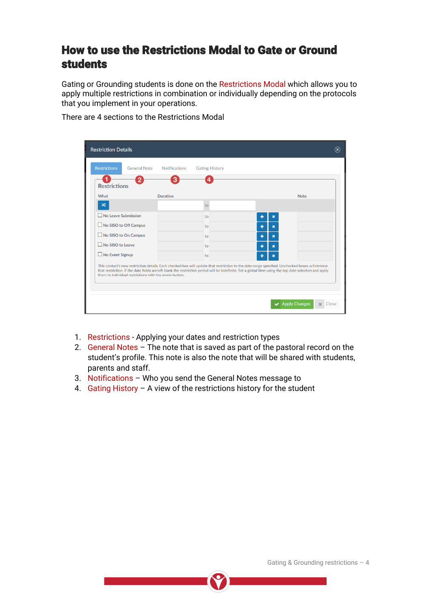# How to use the Restrictions Modal to Gate or Ground students

Gating or Grounding students is done on the Restrictions Modal which allows you to apply multiple restrictions in combination or individually depending on the protocols that you implement in your operations.

| <b>Restrictions</b><br><b>General Note</b>                                                                                                                                                                                                                                                                                                                          | <b>Notifications</b><br>з | <b>Gating History</b> |                   |             |
|---------------------------------------------------------------------------------------------------------------------------------------------------------------------------------------------------------------------------------------------------------------------------------------------------------------------------------------------------------------------|---------------------------|-----------------------|-------------------|-------------|
| <b>Restrictions</b>                                                                                                                                                                                                                                                                                                                                                 |                           |                       |                   |             |
| What                                                                                                                                                                                                                                                                                                                                                                | <b>Duration</b>           |                       |                   | <b>Note</b> |
| <b>x</b>                                                                                                                                                                                                                                                                                                                                                            |                           | to                    |                   |             |
| No Leave Submission                                                                                                                                                                                                                                                                                                                                                 |                           | to                    | ×                 |             |
| No SISO to Off Campus                                                                                                                                                                                                                                                                                                                                               |                           | to                    | $\mathbf{x}$<br>← |             |
| No SISO to On Campus                                                                                                                                                                                                                                                                                                                                                |                           | to                    | ←<br>$\mathbf x$  |             |
| No SISO to Leave                                                                                                                                                                                                                                                                                                                                                    |                           | to                    | ←<br>$\mathbf{x}$ |             |
| No Event Signup                                                                                                                                                                                                                                                                                                                                                     |                           | to                    | $\mathbf{x}$<br>ı |             |
| This contact's new restriction details. Each checked box will update that restriction to the date range specified. Unchecked boxes will remove<br>that restriction. If the date fields are left blank the restriction period will be indefinite. Set a global time using the top date selectors and apply<br>them to individual restrictions with the arrow button. |                           |                       |                   |             |

- 1. Restrictions Applying your dates and restriction types
- 2. General Notes The note that is saved as part of the pastoral record on the student's profile. This note is also the note that will be shared with students, parents and staff.
- 3. Notifications Who you send the General Notes message to
- 4. Gating History A view of the restrictions history for the student

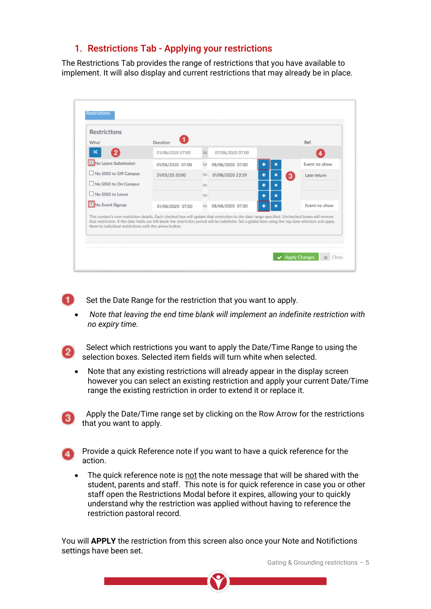### 1. Restrictions Tab - Applying your restrictions

The Restrictions Tab provides the range of restrictions that you have available to implement. It will also display and current restrictions that may already be in place.

| What                                                                                                                                                                                                                                                                                                                                                                | Duration         |    |                  |                  |   | Ref.          |
|---------------------------------------------------------------------------------------------------------------------------------------------------------------------------------------------------------------------------------------------------------------------------------------------------------------------------------------------------------------------|------------------|----|------------------|------------------|---|---------------|
| $\mathbf{2}$<br>x                                                                                                                                                                                                                                                                                                                                                   | 01/06/2020 07:00 | to | 07/06/2020 07:00 |                  |   |               |
| X No Leave Submission                                                                                                                                                                                                                                                                                                                                               | 01/06/2020 07:00 | to | 08/06/2020 07:00 | ×                |   | Event no show |
| No SISO to Off Campus                                                                                                                                                                                                                                                                                                                                               | 31/05/20 20:00   | to | 01/06/2020 23:59 | ←<br>×           | 3 | Late return   |
| No SISO to On Campus                                                                                                                                                                                                                                                                                                                                                |                  | to |                  | ×                |   |               |
| No SISO to Leave                                                                                                                                                                                                                                                                                                                                                    |                  | to |                  | ←<br>$\mathbf x$ |   |               |
| No Event Signup                                                                                                                                                                                                                                                                                                                                                     | 01/06/2020 07:00 | to | 08/06/2020 07:00 | ×                |   | Event no show |
| This contact's new restriction details. Each checked box will update that restriction to the date range specified. Unchecked boxes will remove<br>that restriction. If the date fields are left blank the restriction period will be indefinite. Set a global time using the top date selectors and apply<br>them to individual restrictions with the arrow button. |                  |    |                  |                  |   |               |



Set the Date Range for the restriction that you want to apply.

• *Note that leaving the end time blank will implement an indefinite restriction with no expiry time.*



 Select which restrictions you want to apply the Date/Time Range to using the selection boxes. Selected item fields will turn white when selected.

• Note that any existing restrictions will already appear in the display screen however you can select an existing restriction and apply your current Date/Time range the existing restriction in order to extend it or replace it.



 Apply the Date/Time range set by clicking on the Row Arrow for the restrictions  $\overline{3}$  that you want to apply.



Provide a quick Reference note if you want to have a quick reference for the action.

• The quick reference note is not the note message that will be shared with the student, parents and staff. This note is for quick reference in case you or other staff open the Restrictions Modal before it expires, allowing your to quickly understand why the restriction was applied without having to reference the restriction pastoral record.

You will **APPLY** the restriction from this screen also once your Note and Notifictions settings have been set.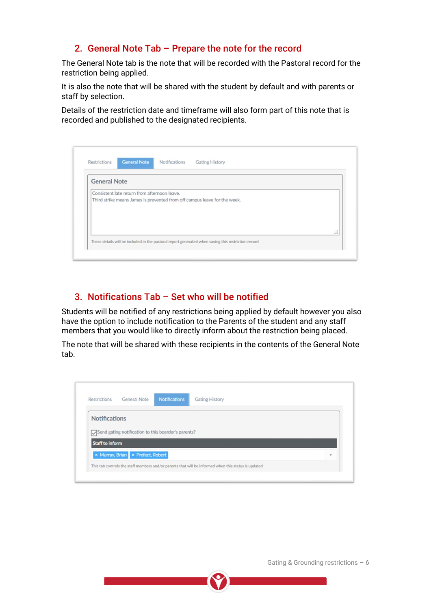## 2. General Note Tab – Prepare the note for the record

The General Note tab is the note that will be recorded with the Pastoral record for the restriction being applied.

It is also the note that will be shared with the student by default and with parents or staff by selection.

Details of the restriction date and timeframe will also form part of this note that is recorded and published to the designated recipients.

| <b>General Note</b> |                                                                           |
|---------------------|---------------------------------------------------------------------------|
|                     | Consistent late return from afternoon leave.                              |
|                     | Third strike means James is prevented from off campus leave for the week. |
|                     |                                                                           |
|                     |                                                                           |
|                     |                                                                           |

# 3. Notifications Tab – Set who will be notified

Students will be notified of any restrictions being applied by default however you also have the option to include notification to the Parents of the student and any staff members that you would like to directly inform about the restriction being placed.

The note that will be shared with these recipients in the contents of the General Note tab.

| Restrictions           | <b>General Note</b>                                 | <b>Notifications</b> | <b>Gating History</b> |  |
|------------------------|-----------------------------------------------------|----------------------|-----------------------|--|
| <b>Notifications</b>   |                                                     |                      |                       |  |
|                        | Send gating notification to this boarder's parents? |                      |                       |  |
|                        |                                                     |                      |                       |  |
| <b>Staff to inform</b> |                                                     |                      |                       |  |